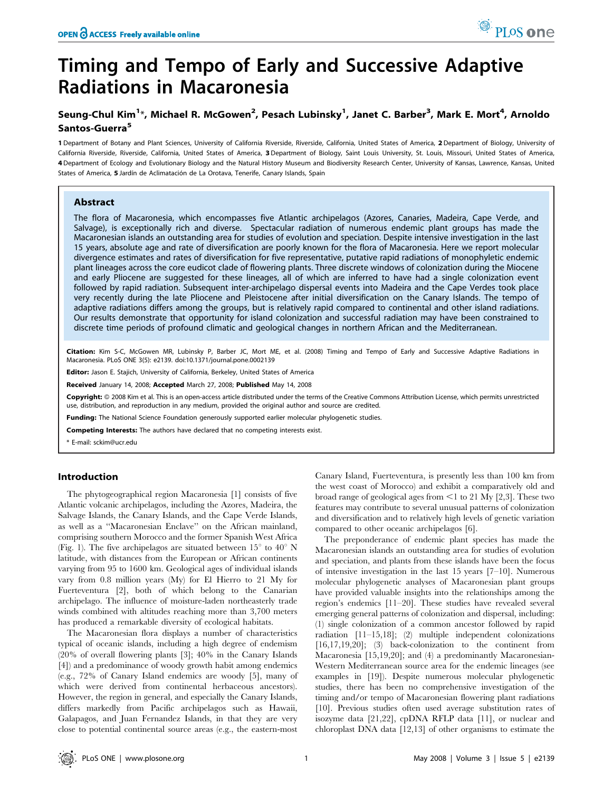# Timing and Tempo of Early and Successive Adaptive Radiations in Macaronesia

## Seung-Chul Kim<sup>1</sup>\*, Michael R. McGowen<sup>2</sup>, Pesach Lubinsky<sup>1</sup>, Janet C. Barber<sup>3</sup>, Mark E. Mort<sup>4</sup>, Arnoldo Santos-Guerra<sup>5</sup>

1 Department of Botany and Plant Sciences, University of California Riverside, Riverside, California, United States of America, 2 Department of Biology, University of California Riverside, Riverside, California, United States of America, 3 Department of Biology, Saint Louis University, St. Louis, Missouri, United States of America, 4 Department of Ecology and Evolutionary Biology and the Natural History Museum and Biodiversity Research Center, University of Kansas, Lawrence, Kansas, United States of America, 5 Jardín de Aclimatación de La Orotava, Tenerife, Canary Islands, Spain

## Abstract

The flora of Macaronesia, which encompasses five Atlantic archipelagos (Azores, Canaries, Madeira, Cape Verde, and Salvage), is exceptionally rich and diverse. Spectacular radiation of numerous endemic plant groups has made the Macaronesian islands an outstanding area for studies of evolution and speciation. Despite intensive investigation in the last 15 years, absolute age and rate of diversification are poorly known for the flora of Macaronesia. Here we report molecular divergence estimates and rates of diversification for five representative, putative rapid radiations of monophyletic endemic plant lineages across the core eudicot clade of flowering plants. Three discrete windows of colonization during the Miocene and early Pliocene are suggested for these lineages, all of which are inferred to have had a single colonization event followed by rapid radiation. Subsequent inter-archipelago dispersal events into Madeira and the Cape Verdes took place very recently during the late Pliocene and Pleistocene after initial diversification on the Canary Islands. The tempo of adaptive radiations differs among the groups, but is relatively rapid compared to continental and other island radiations. Our results demonstrate that opportunity for island colonization and successful radiation may have been constrained to discrete time periods of profound climatic and geological changes in northern African and the Mediterranean.

Citation: Kim S-C, McGowen MR, Lubinsky P, Barber JC, Mort ME, et al. (2008) Timing and Tempo of Early and Successive Adaptive Radiations in Macaronesia. PLoS ONE 3(5): e2139. doi:10.1371/journal.pone.0002139

Editor: Jason E. Stajich, University of California, Berkeley, United States of America

Received January 14, 2008; Accepted March 27, 2008; Published May 14, 2008

Copyright: © 2008 Kim et al. This is an open-access article distributed under the terms of the Creative Commons Attribution License, which permits unrestricted use, distribution, and reproduction in any medium, provided the original author and source are credited.

Funding: The National Science Foundation generously supported earlier molecular phylogenetic studies.

Competing Interests: The authors have declared that no competing interests exist.

\* E-mail: sckim@ucr.edu

## Introduction

The phytogeographical region Macaronesia [1] consists of five Atlantic volcanic archipelagos, including the Azores, Madeira, the Salvage Islands, the Canary Islands, and the Cape Verde Islands, as well as a ''Macaronesian Enclave'' on the African mainland, comprising southern Morocco and the former Spanish West Africa (Fig. 1). The five archipelagos are situated between  $15^{\circ}$  to  $40^{\circ}$  N latitude, with distances from the European or African continents varying from 95 to 1600 km. Geological ages of individual islands vary from 0.8 million years (My) for El Hierro to 21 My for Fuerteventura [2], both of which belong to the Canarian archipelago. The influence of moisture-laden northeasterly trade winds combined with altitudes reaching more than 3,700 meters has produced a remarkable diversity of ecological habitats.

The Macaronesian flora displays a number of characteristics typical of oceanic islands, including a high degree of endemism (20% of overall flowering plants [3]; 40% in the Canary Islands [4]) and a predominance of woody growth habit among endemics (e.g., 72% of Canary Island endemics are woody [5], many of which were derived from continental herbaceous ancestors). However, the region in general, and especially the Canary Islands, differs markedly from Pacific archipelagos such as Hawaii, Galapagos, and Juan Fernandez Islands, in that they are very close to potential continental source areas (e.g., the eastern-most Canary Island, Fuerteventura, is presently less than 100 km from the west coast of Morocco) and exhibit a comparatively old and broad range of geological ages from  $\leq$ 1 to 21 My [2,3]. These two features may contribute to several unusual patterns of colonization and diversification and to relatively high levels of genetic variation compared to other oceanic archipelagos [6].

The preponderance of endemic plant species has made the Macaronesian islands an outstanding area for studies of evolution and speciation, and plants from these islands have been the focus of intensive investigation in the last 15 years [7–10]. Numerous molecular phylogenetic analyses of Macaronesian plant groups have provided valuable insights into the relationships among the region's endemics [11–20]. These studies have revealed several emerging general patterns of colonization and dispersal, including: (1) single colonization of a common ancestor followed by rapid radiation [11–15,18]; (2) multiple independent colonizations [16,17,19,20]; (3) back-colonization to the continent from Macaronesia [15,19,20]; and (4) a predominantly Macaronesian-Western Mediterranean source area for the endemic lineages (see examples in [19]). Despite numerous molecular phylogenetic studies, there has been no comprehensive investigation of the timing and/or tempo of Macaronesian flowering plant radiations [10]. Previous studies often used average substitution rates of isozyme data [21,22], cpDNA RFLP data [11], or nuclear and chloroplast DNA data [12,13] of other organisms to estimate the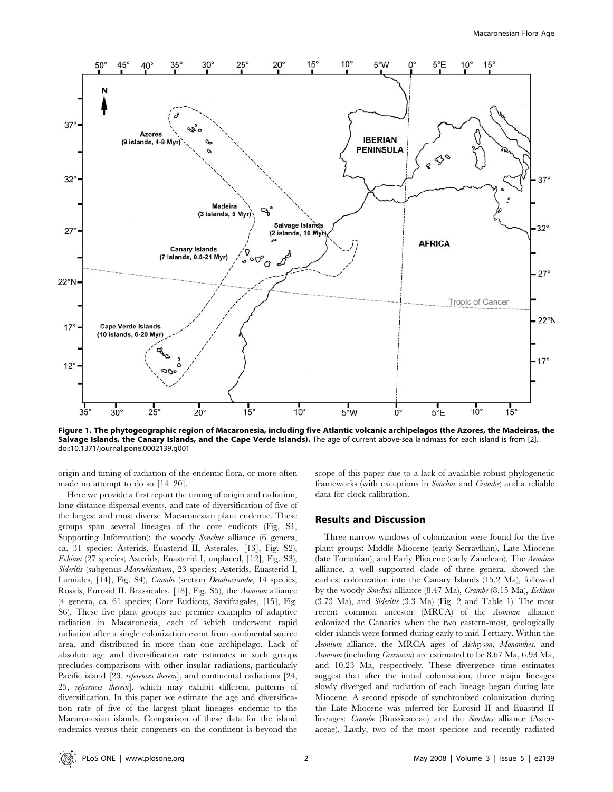

Figure 1. The phytogeographic region of Macaronesia, including five Atlantic volcanic archipelagos (the Azores, the Madeiras, the Salvage Islands, the Canary Islands, and the Cape Verde Islands). The age of current above-sea landmass for each island is from [2]. doi:10.1371/journal.pone.0002139.g001

origin and timing of radiation of the endemic flora, or more often made no attempt to do so [14–20].

Here we provide a first report the timing of origin and radiation, long distance dispersal events, and rate of diversification of five of the largest and most diverse Macaronesian plant endemic. These groups span several lineages of the core eudicots (Fig. S1, Supporting Information): the woody Sonchus alliance (6 genera, ca. 31 species; Asterids, Euasterid II, Asterales, [13], Fig. S2), Echium (27 species; Asterids, Euasterid I, unplaced, [12], Fig. S3), Sideritis (subgenus Marrubiastrum, 23 species; Asterids, Euasterid I, Lamiales, [14], Fig. S4), Crambe (section Dendrocrambe, 14 species; Rosids, Eurosid II, Brassicales, [18], Fig. S5), the Aeonium alliance (4 genera, ca. 61 species; Core Eudicots, Saxifragales, [15], Fig. S6). These five plant groups are premier examples of adaptive radiation in Macaronesia, each of which underwent rapid radiation after a single colonization event from continental source area, and distributed in more than one archipelago. Lack of absolute age and diversification rate estimates in such groups precludes comparisons with other insular radiations, particularly Pacific island [23, references therein], and continental radiations [24, 25, references therein], which may exhibit different patterns of diversification. In this paper we estimate the age and diversification rate of five of the largest plant lineages endemic to the Macaronesian islands. Comparison of these data for the island endemics versus their congeners on the continent is beyond the

scope of this paper due to a lack of available robust phylogenetic frameworks (with exceptions in Sonchus and Crambe) and a reliable data for clock calibration.

## Results and Discussion

Three narrow windows of colonization were found for the five plant groups: Middle Miocene (early Serravllian), Late Miocene (late Tortonian), and Early Pliocene (early Zanclean). The Aeonium alliance, a well supported clade of three genera, showed the earliest colonization into the Canary Islands (15.2 Ma), followed by the woody Sonchus alliance (8.47 Ma), Crambe (8.15 Ma), Echium (3.73 Ma), and Sideritis (3.3 Ma) (Fig. 2 and Table 1). The most recent common ancestor (MRCA) of the Aeonium alliance colonized the Canaries when the two eastern-most, geologically older islands were formed during early to mid Tertiary. Within the Aeonium alliance, the MRCA ages of Aichryson, Monanthes, and Aeonium (including Greenovia) are estimated to be 8.67 Ma, 6.93 Ma, and 10.23 Ma, respectively. These divergence time estimates suggest that after the initial colonization, three major lineages slowly diverged and radiation of each lineage began during late Miocene. A second episode of synchronized colonization during the Late Miocene was inferred for Eurosid II and Euastrid II lineages: Crambe (Brassicaceae) and the Sonchus alliance (Asteraceae). Lastly, two of the most speciose and recently radiated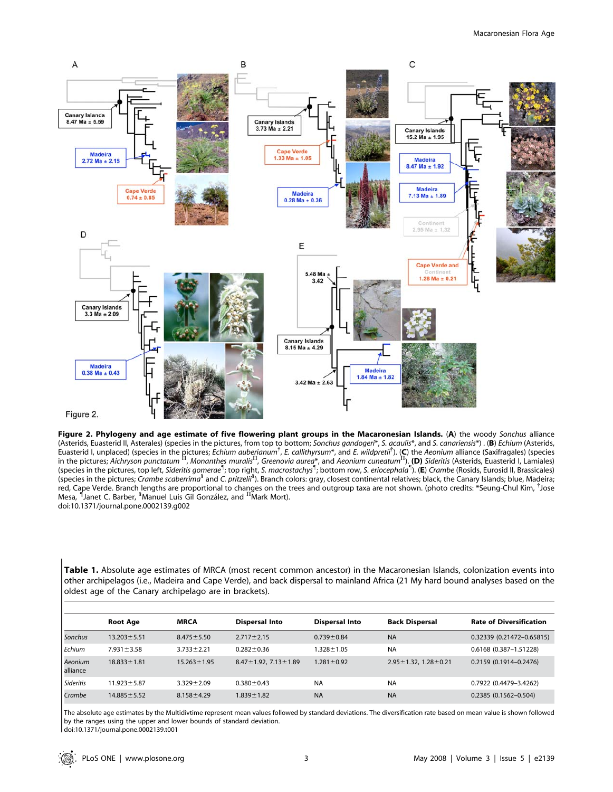

Figure 2. Phylogeny and age estimate of five flowering plant groups in the Macaronesian Islands. (A) the woody Sonchus alliance (Asterids, Euasterid II, Asterales) (species in the pictures, from top to bottom; Sonchus gandogeri\*, S. acaulis\*, and S. canariensis\*) . (B) Echium (Asterids, Euasterid I, unplaced) (species in the pictures; *Echium auberianum<sup>†</sup>, E. callithyrsum\**, and *E. wildpretii<sup>†</sup>).* (C) the Aeonium alliance (Saxifragales) (species<br>in the pictures; Aichryson punctatum <sup>11</sup>, Monanthes mura red, Cape Verde. Branch lengths are proportional to changes on the trees and outgroup taxa are not shown. (photo credits: \*Seung-Chul Kim, <sup>†</sup>Jose Mesa, Janet C. Barber, <sup>5</sup>Manuel Luis Gil González, and <sup>II</sup>Mark Mort). doi:10.1371/journal.pone.0002139.g002

Table 1. Absolute age estimates of MRCA (most recent common ancestor) in the Macaronesian Islands, colonization events into other archipelagos (i.e., Madeira and Cape Verde), and back dispersal to mainland Africa (21 My hard bound analyses based on the oldest age of the Canary archipelago are in brackets).

|                     | <b>Root Age</b>   | <b>MRCA</b>       | <b>Dispersal Into</b>             | <b>Dispersal Into</b> | <b>Back Dispersal</b>             | <b>Rate of Diversification</b> |
|---------------------|-------------------|-------------------|-----------------------------------|-----------------------|-----------------------------------|--------------------------------|
| Sonchus             | $13.203 \pm 5.51$ | $8.475 \pm 5.50$  | $2.717 \pm 2.15$                  | $0.739 \pm 0.84$      | <b>NA</b>                         | 0.32339 (0.21472-0.65815)      |
| Echium              | $7.931 \pm 3.58$  | $3.733 \pm 2.21$  | $0.282 \pm 0.36$                  | $.328 \pm 1.05$       | <b>NA</b>                         | 0.6168 (0.387-1.51228)         |
| Aeonium<br>alliance | $18.833 \pm 1.81$ | $15.263 \pm 1.95$ | $8.47 \pm 1.92$ , $7.13 \pm 1.89$ | $1.281 \pm 0.92$      | $2.95 \pm 1.32$ , $1.28 \pm 0.21$ | $0.2159(0.1914 - 0.2476)$      |
| Sideritis           | $11.923 \pm 5.87$ | $3.329 \pm 2.09$  | $0.380 \pm 0.43$                  | <b>NA</b>             | <b>NA</b>                         | 0.7922 (0.4479-3.4262)         |
| Crambe              | $14.885 \pm 5.52$ | $8.158 \pm 4.29$  | $1.839 \pm 1.82$                  | <b>NA</b>             | <b>NA</b>                         | $0.2385(0.1562 - 0.504)$       |

The absolute age estimates by the Multidivtime represent mean values followed by standard deviations. The diversification rate based on mean value is shown followed by the ranges using the upper and lower bounds of standard deviation.

doi:10.1371/journal.pone.0002139.t001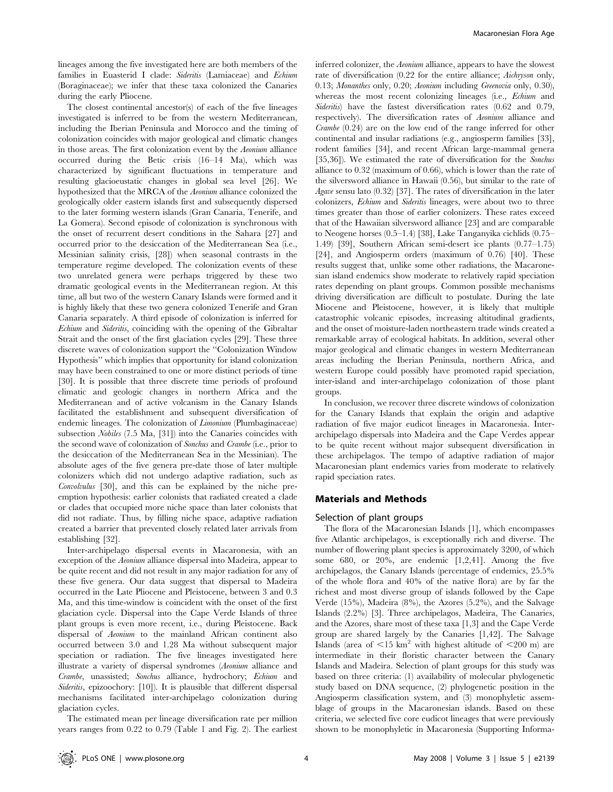lineages among the five investigated here are both members of the families in Euasterid I clade: Sideritis (Lamiaceae) and Echium (Boraginaceae); we infer that these taxa colonized the Canaries during the early Pliocene.

The closest continental ancestor(s) of each of the five lineages investigated is inferred to be from the western Mediterranean, including the Iberian Peninsula and Morocco and the timing of colonization coincides with major geological and climatic changes in those areas. The first colonization event by the Aeonium alliance occurred during the Betic crisis (16–14 Ma), which was characterized by significant fluctuations in temperature and resulting glacioeustatic changes in global sea level [26]. We hypothesized that the MRCA of the Aeonium alliance colonized the geologically older eastern islands first and subsequently dispersed to the later forming western islands (Gran Canaria, Tenerife, and La Gomera). Second episode of colonization is synchronous with the onset of recurrent desert conditions in the Sahara [27] and occurred prior to the desiccation of the Mediterranean Sea (i.e., Messinian salinity crisis, [28]) when seasonal contrasts in the temperature regime developed. The colonization events of these two unrelated genera were perhaps triggered by these two dramatic geological events in the Mediterranean region. At this time, all but two of the western Canary Islands were formed and it is highly likely that these two genera colonized Tenerife and Gran Canaria separately. A third episode of colonization is inferred for Echium and Sideritis, coinciding with the opening of the Gibraltar Strait and the onset of the first glaciation cycles [29]. These three discrete waves of colonization support the ''Colonization Window Hypothesis'' which implies that opportunity for island colonization may have been constrained to one or more distinct periods of time [30]. It is possible that three discrete time periods of profound climatic and geologic changes in northern Africa and the Mediterranean and of active volcanism in the Canary Islands facilitated the establishment and subsequent diversification of endemic lineages. The colonization of *Limonium* (Plumbaginaceae) subsection Nobiles (7.5 Ma, [31]) into the Canaries coincides with the second wave of colonization of Sonchus and Crambe (i.e., prior to the desiccation of the Mediterranean Sea in the Messinian). The absolute ages of the five genera pre-date those of later multiple colonizers which did not undergo adaptive radiation, such as Convolvulus [30], and this can be explained by the niche preemption hypothesis: earlier colonists that radiated created a clade or clades that occupied more niche space than later colonists that did not radiate. Thus, by filling niche space, adaptive radiation created a barrier that prevented closely related later arrivals from establishing [32].

Inter-archipelago dispersal events in Macaronesia, with an exception of the Aeonium alliance dispersal into Madeira, appear to be quite recent and did not result in any major radiation for any of these five genera. Our data suggest that dispersal to Madeira occurred in the Late Pliocene and Pleistocene, between 3 and 0.3 Ma, and this time-window is coincident with the onset of the first glaciation cycle. Dispersal into the Cape Verde Islands of three plant groups is even more recent, i.e., during Pleistocene. Back dispersal of Aeonium to the mainland African continent also occurred between 3.0 and 1.28 Ma without subsequent major speciation or radiation. The five lineages investigated here illustrate a variety of dispersal syndromes (Aeonium alliance and Crambe, unassisted; Sonchus alliance, hydrochory; Echium and Sideritis, epizoochory: [10]). It is plausible that different dispersal mechanisms facilitated inter-archipelago colonization during glaciation cycles.

The estimated mean per lineage diversification rate per million years ranges from 0.22 to 0.79 (Table 1 and Fig. 2). The earliest

inferred colonizer, the Aeonium alliance, appears to have the slowest rate of diversification (0.22 for the entire alliance; *Aichryson* only, 0.13; Monanthes only, 0.20; Aeonium including Greenovia only, 0.30), whereas the most recent colonizing lineages (i.e., Echium and Sideritis) have the fastest diversification rates (0.62 and 0.79, respectively). The diversification rates of Aeonium alliance and Crambe (0.24) are on the low end of the range inferred for other continental and insular radiations (e.g., angiosperm families [33], rodent families [34], and recent African large-mammal genera [35,36]). We estimated the rate of diversification for the *Sonchus* alliance to 0.32 (maximum of 0.66), which is lower than the rate of the silversword alliance in Hawaii (0.56), but similar to the rate of Agave sensu lato (0.32) [37]. The rates of diversification in the later colonizers, Echium and Sideritis lineages, were about two to three times greater than those of earlier colonizers. These rates exceed that of the Hawaiian silversword alliance [23] and are comparable to Neogene horses (0.5–1.4) [38], Lake Tanganyika cichlids (0.75– 1.49) [39], Southern African semi-desert ice plants (0.77–1.75) [24], and Angiosperm orders (maximum of 0.76) [40]. These results suggest that, unlike some other radiations, the Macaronesian island endemics show moderate to relatively rapid speciation rates depending on plant groups. Common possible mechanisms driving diversification are difficult to postulate. During the late Miocene and Pleistocene, however, it is likely that multiple catastrophic volcanic episodes, increasing altitudinal gradients, and the onset of moisture-laden northeastern trade winds created a remarkable array of ecological habitats. In addition, several other major geological and climatic changes in western Mediterranean areas including the Iberian Peninsula, northern Africa, and western Europe could possibly have promoted rapid speciation, inter-island and inter-archipelago colonization of those plant groups.

In conclusion, we recover three discrete windows of colonization for the Canary Islands that explain the origin and adaptive radiation of five major eudicot lineages in Macaronesia. Interarchipelago dispersals into Madeira and the Cape Verdes appear to be quite recent without major subsequent diversification in these archipelagos. The tempo of adaptive radiation of major Macaronesian plant endemics varies from moderate to relatively rapid speciation rates.

## Materials and Methods

## Selection of plant groups

The flora of the Macaronesian Islands [1], which encompasses five Atlantic archipelagos, is exceptionally rich and diverse. The number of flowering plant species is approximately 3200, of which some 680, or 20%, are endemic [1,2,41]. Among the five archipelagos, the Canary Islands (percentage of endemics, 25.5% of the whole flora and 40% of the native flora) are by far the richest and most diverse group of islands followed by the Cape Verde (15%), Madeira (8%), the Azores (5.2%), and the Salvage Islands (2.2%) [3]. Three archipelagos, Madeira, The Canaries, and the Azores, share most of these taxa [1,3] and the Cape Verde group are shared largely by the Canaries [1,42]. The Salvage Islands (area of  $\leq 15$  km<sup>2</sup> with highest altitude of  $\leq 200$  m) are intermediate in their floristic character between the Canary Islands and Madeira. Selection of plant groups for this study was based on three criteria: (1) availability of molecular phylogenetic study based on DNA sequence, (2) phylogenetic position in the Angiosperm classification system, and (3) monophyletic assemblage of groups in the Macaronesian islands. Based on these criteria, we selected five core eudicot lineages that were previously shown to be monophyletic in Macaronesia (Supporting Informa-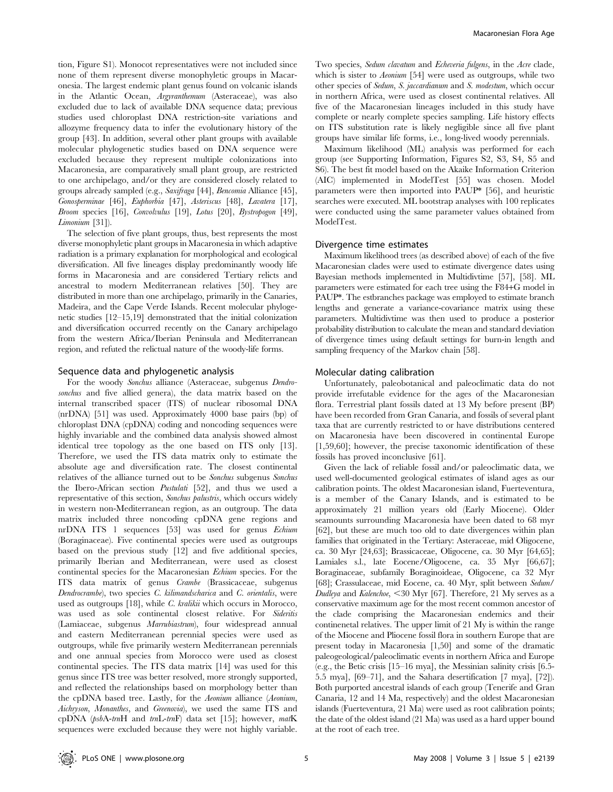tion, Figure S1). Monocot representatives were not included since none of them represent diverse monophyletic groups in Macaronesia. The largest endemic plant genus found on volcanic islands in the Atlantic Ocean, Argyranthemum (Asteraceae), was also excluded due to lack of available DNA sequence data; previous studies used chloroplast DNA restriction-site variations and allozyme frequency data to infer the evolutionary history of the group [43]. In addition, several other plant groups with available molecular phylogenetic studies based on DNA sequence were excluded because they represent multiple colonizations into Macaronesia, are comparatively small plant group, are restricted to one archipelago, and/or they are considered closely related to groups already sampled (e.g., Saxifraga [44], Bencomia Alliance [45], Gonosperminae [46], Euphorbia [47], Asteriscus [48], Lavatera [17], Broom species [16], Convolvulus [19], Lotus [20], Bystropogon [49], Limonium [31]).

The selection of five plant groups, thus, best represents the most diverse monophyletic plant groups in Macaronesia in which adaptive radiation is a primary explanation for morphological and ecological diversification. All five lineages display predominantly woody life forms in Macaronesia and are considered Tertiary relicts and ancestral to modern Mediterranean relatives [50]. They are distributed in more than one archipelago, primarily in the Canaries, Madeira, and the Cape Verde Islands. Recent molecular phylogenetic studies [12–15,19] demonstrated that the initial colonization and diversification occurred recently on the Canary archipelago from the western Africa/Iberian Peninsula and Mediterranean region, and refuted the relictual nature of the woody-life forms.

#### Sequence data and phylogenetic analysis

For the woody Sonchus alliance (Asteraceae, subgenus Dendrosonchus and five allied genera), the data matrix based on the internal transcribed spacer (ITS) of nuclear ribosomal DNA (nrDNA) [51] was used. Approximately 4000 base pairs (bp) of chloroplast DNA (cpDNA) coding and noncoding sequences were highly invariable and the combined data analysis showed almost identical tree topology as the one based on ITS only [13]. Therefore, we used the ITS data matrix only to estimate the absolute age and diversification rate. The closest continental relatives of the alliance turned out to be Sonchus subgenus Sonchus the Ibero-African section Pustulati [52], and thus we used a representative of this section, Sonchus palustris, which occurs widely in western non-Mediterranean region, as an outgroup. The data matrix included three noncoding cpDNA gene regions and nrDNA ITS 1 sequences [53] was used for genus Echium (Boraginaceae). Five continental species were used as outgroups based on the previous study [12] and five additional species, primarily Iberian and Mediterranean, were used as closest continental species for the Macaronesian Echium species. For the ITS data matrix of genus Crambe (Brassicaceae, subgenus Dendrocrambe), two species C. kilimandscharica and C. orientalis, were used as outgroups [18], while C. kralikii which occurs in Morocco, was used as sole continental closest relative. For Sideritis (Lamiaceae, subgenus Marrubiastrum), four widespread annual and eastern Mediterranean perennial species were used as outgroups, while five primarily western Mediterranean perennials and one annual species from Morocco were used as closest continental species. The ITS data matrix [14] was used for this genus since ITS tree was better resolved, more strongly supported, and reflected the relationships based on morphology better than the cpDNA based tree. Lastly, for the Aeonium alliance (Aeonium, Aichryson, Monanthes, and Greenovia), we used the same ITS and cpDNA (psbA-trnH and trnL-trnF) data set [15]; however, matK sequences were excluded because they were not highly variable.

Two species, Sedum clavatum and Echeveria fulgens, in the Acre clade, which is sister to *Aeonium* [54] were used as outgroups, while two other species of Sedum, S. jaccardianum and S. modestum, which occur in northern Africa, were used as closest continental relatives. All five of the Macaronesian lineages included in this study have complete or nearly complete species sampling. Life history effects on ITS substitution rate is likely negligible since all five plant groups have similar life forms, i.e., long-lived woody perennials.

Maximum likelihood (ML) analysis was performed for each group (see Supporting Information, Figures S2, S3, S4, S5 and S6). The best fit model based on the Akaike Information Criterion (AIC) implemented in ModelTest [55] was chosen. Model parameters were then imported into PAUP\* [56], and heuristic searches were executed. ML bootstrap analyses with 100 replicates were conducted using the same parameter values obtained from ModelTest.

#### Divergence time estimates

Maximum likelihood trees (as described above) of each of the five Macaronesian clades were used to estimate divergence dates using Bayesian methods implemented in Multidivtime [57], [58]. ML parameters were estimated for each tree using the F84+G model in PAUP\*. The estbranches package was employed to estimate branch lengths and generate a variance-covariance matrix using these parameters. Multidivtime was then used to produce a posterior probability distribution to calculate the mean and standard deviation of divergence times using default settings for burn-in length and sampling frequency of the Markov chain [58].

#### Molecular dating calibration

Unfortunately, paleobotanical and paleoclimatic data do not provide irrefutable evidence for the ages of the Macaronesian flora. Terrestrial plant fossils dated at 13 My before present (BP) have been recorded from Gran Canaria, and fossils of several plant taxa that are currently restricted to or have distributions centered on Macaronesia have been discovered in continental Europe [1,59,60]; however, the precise taxonomic identification of these fossils has proved inconclusive [61].

Given the lack of reliable fossil and/or paleoclimatic data, we used well-documented geological estimates of island ages as our calibration points. The oldest Macaronesian island, Fuerteventura, is a member of the Canary Islands, and is estimated to be approximately 21 million years old (Early Miocene). Older seamounts surrounding Macaronesia have been dated to 68 myr [62], but these are much too old to date divergences within plan families that originated in the Tertiary: Asteraceae, mid Oligocene, ca. 30 Myr [24,63]; Brassicaceae, Oligocene, ca. 30 Myr [64,65]; Lamiales s.l., late Eocene/Oligocene, ca. 35 Myr [66,67]; Boraginaceae, subfamily Boraginoideae, Oligocene, ca 32 Myr [68]; Crassulaceae, mid Eocene, ca. 40 Myr, split between Sedum/ Dudleya and Kalenchoe, <30 Myr [67]. Therefore, 21 My serves as a conservative maximum age for the most recent common ancestor of the clade comprising the Macaronesian endemics and their continenetal relatives. The upper limit of 21 My is within the range of the Miocene and Pliocene fossil flora in southern Europe that are present today in Macaronesia [1,50] and some of the dramatic paleogeological/paleoclimatic events in northern Africa and Europe (e.g., the Betic crisis [15–16 mya], the Messinian salinity crisis [6.5- 5.5 mya], [69–71], and the Sahara desertification [7 mya], [72]). Both purported ancestral islands of each group (Tenerife and Gran Canaria, 12 and 14 Ma, respectively) and the oldest Macaronesian islands (Fuerteventura, 21 Ma) were used as root calibration points; the date of the oldest island (21 Ma) was used as a hard upper bound at the root of each tree.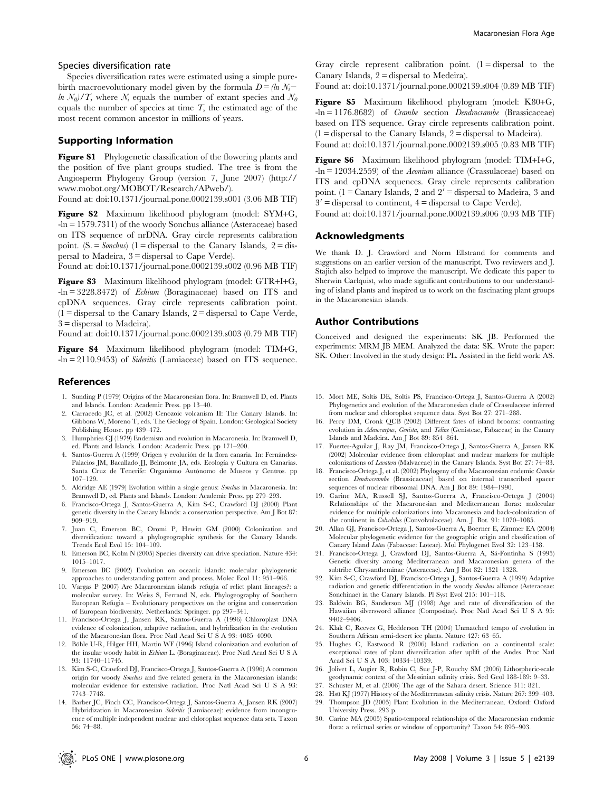#### Species diversification rate

Species diversification rates were estimated using a simple purebirth macroevolutionary model given by the formula  $D = \ln N_i$  $ln N_0/T$ , where  $N_i$  equals the number of extant species and  $N_0$ equals the number of species at time  $T$ , the estimated age of the most recent common ancestor in millions of years.

## Supporting Information

Figure S1 Phylogenetic classification of the flowering plants and the position of five plant groups studied. The tree is from the Angiosperm Phylogeny Group (version 7, June 2007) (http:// www.mobot.org/MOBOT/Research/APweb/).

Found at: doi:10.1371/journal.pone.0002139.s001 (3.06 MB TIF)

Figure S2 Maximum likelihood phylogram (model: SYM+G, -ln = 1579.7311) of the woody Sonchus alliance (Asteraceae) based on ITS sequence of nrDNA. Gray circle represents calibration point.  $(S = Sonchus)$  (1 = dispersal to the Canary Islands, 2 = dispersal to Madeira, 3 = dispersal to Cape Verde).

Found at: doi:10.1371/journal.pone.0002139.s002 (0.96 MB TIF)

Figure S3 Maximum likelihood phylogram (model: GTR+I+G, -ln = 3228.8472) of Echium (Boraginaceae) based on ITS and cpDNA sequences. Gray circle represents calibration point.  $(1 =$  dispersal to the Canary Islands,  $2 =$  dispersal to Cape Verde, 3 = dispersal to Madeira).

Found at: doi:10.1371/journal.pone.0002139.s003 (0.79 MB TIF)

Figure S4 Maximum likelihood phylogram (model: TIM+G, -ln = 2110.9453) of Sideritis (Lamiaceae) based on ITS sequence.

#### References

- 1. Sunding P (1979) Origins of the Macaronesian flora. In: Bramwell D, ed. Plants and Islands. London: Academic Press. pp 13–40.
- 2. Carracedo JC, et al. (2002) Cenozoic volcanism II: The Canary Islands. In: Gibbons W, Moreno T, eds. The Geology of Spain. London: Geological Society Publishing House. pp 439–472.
- 3. Humphries CJ (1979) Endemism and evolution in Macaronesia. In: Bramwell D, ed. Plants and Islands. London: Academic Press. pp 171–200.
- 4. Santos-Guerra A (1999) Origen y evolución de la flora canaria. In: Fernández-Palacios JM, Bacallado JJ, Belmonte JA, eds. Ecología y Cultura en Canarias. Santa Cruz de Tenerife: Organismo Autónomo de Museos y Centros. pp 107–129.
- 5. Aldridge AE (1979) Evolution within a single genus: Sonchus in Macaronesia. In: Bramwell D, ed. Plants and Islands. London: Academic Press. pp 279–293.
- 6. Francisco-Ortega J, Santos-Guerra A, Kim S-C, Crawford DJ (2000) Plant genetic diversity in the Canary Islands: a conservation perspective. Am J Bot 87: 909–919.
- 7. Juan C, Emerson BC, Oromi P, Hewitt GM (2000) Colonization and diversification: toward a phylogeographic synthesis for the Canary Islands. Trends Ecol Evol 15: 104–109.
- 8. Emerson BC, Kolm N (2005) Species diversity can drive speciation. Nature 434: 1015–1017.
- 9. Emerson BC (2002) Evolution on oceanic islands: molecular phylogenetic approaches to understanding pattern and process. Molec Ecol 11: 951–966.
- 10. Vargas P (2007) Are Macaronesian islands refugia of relict plant lineages?: a molecular survey. In: Weiss S, Ferrand N, eds. Phylogeography of Southern European Refugia – Evolutionary perspectives on the origins and conservation of European biodiversity. Netherlands: Springer. pp 297–341.
- 11. Francisco-Ortega J, Jansen RK, Santos-Guerra A (1996) Chloroplast DNA evidence of colonization, adaptive radiation, and hybridization in the evolution of the Macaronesian flora. Proc Natl Acad Sci U S A 93: 4085–4090.
- 12. Böhle U-R, Hilger HH, Martin WF (1996) Island colonization and evolution of the insular woody habit in Echium L. (Boraginaceae). Proc Natl Acad Sci U S A 93: 11740–11745.
- 13. Kim S-C, Crawford DJ, Francisco-Ortega J, Santos-Guerra A (1996) A common origin for woody Sonchus and five related genera in the Macaronesian islands: molecular evidence for extensive radiation. Proc Natl Acad Sci U S A 93: 7743–7748.
- 14. Barber JC, Finch CC, Francisco-Ortega J, Santos-Guerra A, Jansen RK (2007) Hybridization in Macaronesian Sideritis (Lamiaceae): evidence from incongruence of multiple independent nuclear and chloroplast sequence data sets. Taxon 56: 74–88.

Gray circle represent calibration point.  $(1 =$  dispersal to the Canary Islands, 2 = dispersal to Medeira).

Found at: doi:10.1371/journal.pone.0002139.s004 (0.89 MB TIF)

Figure S5 Maximum likelihood phylogram (model: K80+G, -ln = 1176.8682) of Crambe section Dendrocrambe (Brassicaceae) based on ITS sequence. Gray circle represents calibration point.  $(1 =$  dispersal to the Canary Islands,  $2 =$  dispersal to Madeira). Found at: doi:10.1371/journal.pone.0002139.s005 (0.83 MB TIF)

Figure S6 Maximum likelihood phylogram (model: TIM+I+G,  $-ln = 12034.2559$  of the *Aeonium* alliance (Crassulaceae) based on ITS and cpDNA sequences. Gray circle represents calibration point. (1 = Canary Islands, 2 and  $2'$  = dispersal to Madeira, 3 and  $3'$  = dispersal to continent,  $4$  = dispersal to Cape Verde).

Found at: doi:10.1371/journal.pone.0002139.s006 (0.93 MB TIF)

#### Acknowledgments

We thank D. J. Crawford and Norm Ellstrand for comments and suggestions on an earlier version of the manuscript. Two reviewers and J. Stajich also helped to improve the manuscript. We dedicate this paper to Sherwin Carlquist, who made significant contributions to our understanding of island plants and inspired us to work on the fascinating plant groups in the Macaronesian islands.

## Author Contributions

Conceived and designed the experiments: SK JB. Performed the experiments: MRM JB MEM. Analyzed the data: SK. Wrote the paper: SK. Other: Involved in the study design: PL. Assisted in the field work: AS.

- 15. Mort ME, Soltis DE, Soltis PS, Francisco-Ortega J, Santos-Guerra A (2002) Phylogenetics and evolution of the Macaronesian clade of Crassulaceae inferred from nuclear and chloroplast sequence data. Syst Bot 27: 271–288.
- 16. Percy DM, Cronk QCB (2002) Different fates of island brooms: contrasting evolution in Adenocarpus, Genista, and Teline (Genisteae, Fabaceae) in the Canary Islands and Madeira. Am J Bot 89: 854–864.
- 17. Fuertes-Aguilar J, Ray JM, Francisco-Ortega J, Santos-Guerra A, Jansen RK (2002) Molecular evidence from chloroplast and nuclear markers for multiple colonizations of Lavatera (Malvaceae) in the Canary Islands. Syst Bot 27: 74–83.
- 18. Francisco-Ortega J, et al. (2002) Phylogeny of the Macaronesian endemic Crambe section *Dendrocrambe* (Brassicaceae) based on internal transcribed spacer sequences of nuclear ribosomal DNA. Am J Bot 89: 1984–1990.
- 19. Carine MA, Russell SJ, Santos-Guerra A, Francisco-Ortega J (2004) Relationships of the Macaronesian and Mediterranean floras: molecular evidence for multiple colonizations into Macaronesia and back-colonization of the continent in *Colvolvlus* (Convolvulaceae). Am. J. Bot. 91: 1070-1085.
- 20. Allan GJ, Francisco-Ortega J, Santos-Guerra A, Boerner E, Zimmer EA (2004) Molecular phylogenetic evidence for the geographic origin and classification of Canary Island Lotus (Fabaceae: Loteae). Mol Phylogenet Evol 32: 123–138.
- 21. Francisco-Ortega J, Crawford DJ, Santos-Guerra A, Sá-Fontinha S (1995) Genetic diversity among Mediterranean and Macaronesian genera of the subtribe Chrysantheminae (Asteraceae). Am J Bot 82: 1321–1328.
- 22. Kim S-C, Crawford DJ, Francisco-Ortega J, Santos-Guerra A (1999) Adaptive radiation and genetic differentiation in the woody Sonchus alliance (Asteraceae: Sonchinae) in the Canary Islands. Pl Syst Evol 215: 101–118.
- 23. Baldwin BG, Sanderson MJ (1998) Age and rate of diversification of the Hawaiian silversword alliance (Compositae). Proc Natl Acad Sci U S A 95: 9402–9406.
- 24. Klak C, Reeves G, Hedderson TH (2004) Unmatched tempo of evolution in Southern African semi-desert ice plants. Nature 427: 63–65.
- 25. Hughes C, Eastwood R (2006) Island radiation on a continental scale: exceptional rates of plant diversification after uplift of the Andes. Proc Natl Acad Sci U S A 103: 10334–10339.
- 26. Jolivet L, Augier R, Robin C, Sue J-P, Rouchy SM (2006) Lithospheric-scale geodynamic context of the Messinian salinity crisis. Sed Geol 188-189: 9–33.
- 27. Schuster M, et al. (2006) The age of the Sahara desert. Science 311: 821.
- 28. Hsü KJ (1977) History of the Mediterranean salinity crisis. Nature 267: 399-403.
- 29. Thompson JD (2005) Plant Evolution in the Mediterranean. Oxford: Oxford University Press. 293 p.
- 30. Carine MA (2005) Spatio-temporal relationships of the Macaronesian endemic flora: a relictual series or window of opportunity? Taxon 54: 895–903.